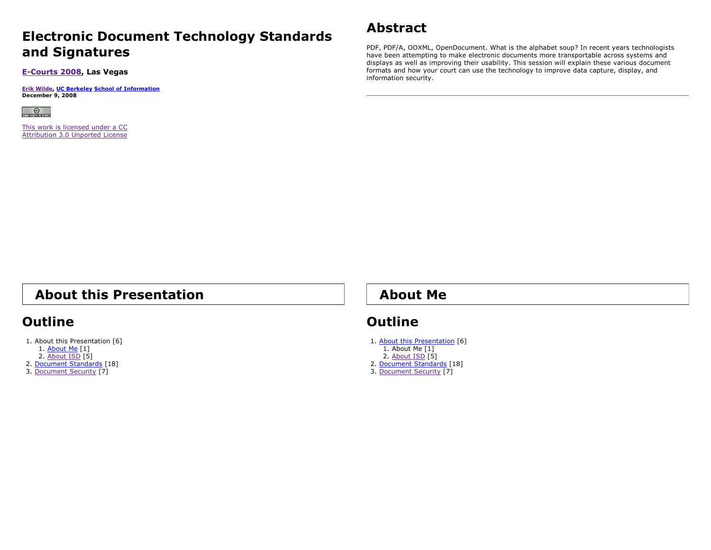#### **Electronic Document Technology Standards and Signatures**

**E-Courts 2008, Las Vegas**

**Erik Wilde, UC Berkeley School of Information December 9, 2008**



This work is licensed under a CCAttribution 3.0 Unported License

## **Abstract**

PDF, PDF/A, OOXML, OpenDocument. What is the alphabet soup? In recent years technologists have been attempting to make electronic documents more transportable across systems and displays as well as improving their usability. This session will explain these various document formats and how your court can use the technology to improve data capture, display, and information security.

## **About this Presentation**

## **Outline**

1. About this Presentation [6]

- 1. <u>About Me</u> [1]
- 2. <u>About ISD</u> [5]
- 2. <u>Document Standards</u> [18] 3. Document Security [7]

#### **About Me**

## **Outline**

1. <u>About this Presentation</u> [6] 1. About Me [1] 2. <u>About ISD</u> [5] 2. <u>Document Standards</u> [18] 3. Document Security [7]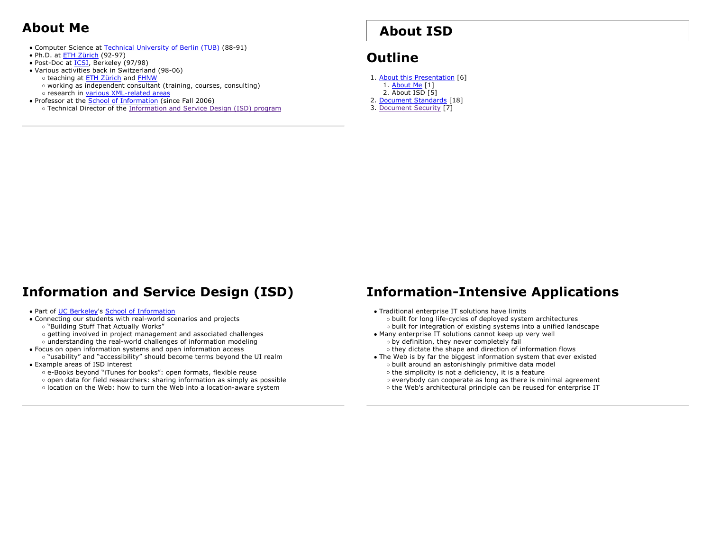## **About Me**

- Computer Science at Technical University of Berlin (TUB) (88-91)
- Ph.D. at ETH Zürich (92-97)
- Post-Doc at **ICSI**, Berkeley (97/98)
- Various activities back in Switzerland (98-06)
	- o teaching at ETH Zürich and FHNW o working as independent consultant (training, courses, consulting) research in <u>various XML-related areas</u>
- Professor at the School of Information (since Fall 2006)
- Technical Director of the Information and Service Design (ISD) program

# **About ISD**

# **Outline**

- 1. <u>About this Presentation</u> [6] 1. <u>About Me</u> [1] 2. About ISD [5] 2. <u>Document Standards</u> [18]
- 3. Document Security [7]

## **Information and Service Design (ISD)**

#### • Part of UC Berkeley's School of Information

- Connecting our students with real-world scenarios and projects
- "Building Stuff That Actually Works"
- getting involved in project management and associated challenges
- understanding the real-world challenges of information modeling
- Focus on open information systems and open information access
- "usability" and "accessibility" should become terms beyond the UI realm Example areas of ISD interest
	- e-Books beyond "iTunes for books": open formats, flexible reuse open data for field researchers: sharing information as simply as possible location on the Web: how to turn the Web into a location-aware system

## **Information-Intensive Applications**

- Traditional enterprise IT solutions have limits o built for long life-cycles of deployed system architectures o built for integration of existing systems into a unified landscape
- Many enterprise IT solutions cannot keep up very well o by definition, they never completely fail
	- o they dictate the shape and direction of information flows
- The Web is by far the biggest information system that ever existed o built around an astonishingly primitive data model
	- $\circ$  the simplicity is not a deficiency, it is a feature
	- everybody can cooperate as long as there is minimal agreement o the Web's architectural principle can be reused for enterprise IT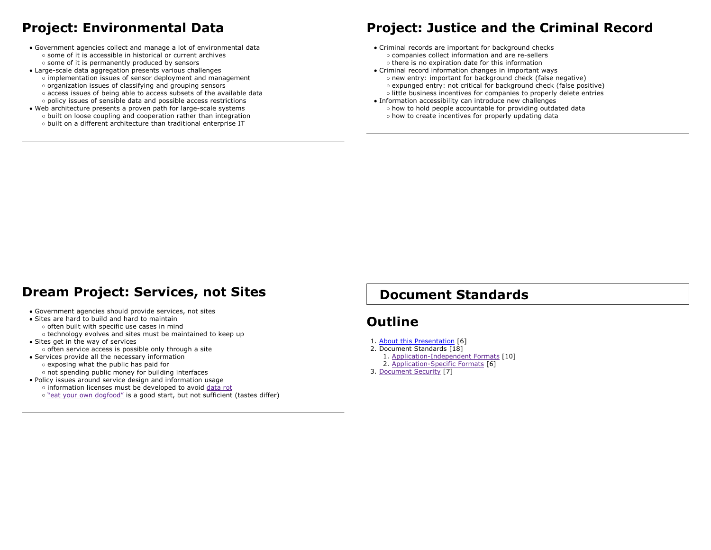## **Project: Environmental Data**

- Government agencies collect and manage a lot of environmental data some of it is accessible in historical or current archiveso some of it is permanently produced by sensors
- Large-scale data aggregation presents various challenges implementation issues of sensor deployment and management  $\circ$  organization issues of classifying and grouping sensors access issues of being able to access subsets of the available data policy issues of sensible data and possible access restrictions
- Web architecture presents a proven path for large-scale systems o built on loose coupling and cooperation rather than integration  $\circ$  built on a different architecture than traditional enterprise IT

## **Project: Justice and the Criminal Record**

- Criminal records are important for background checks companies collect information and are re-sellers  $\circ$  there is no expiration date for this information
- Criminal record information changes in important ways o new entry: important for background check (false negative) expunged entry: not critical for background check (false positive) little business incentives for companies to properly delete entries
- Information accessibility can introduce new challenges o how to hold people accountable for providing outdated data o how to create incentives for properly updating data

#### **Dream Project: Services, not Sites**

#### Government agencies should provide services, not sites

- Sites are hard to build and hard to maintain often built with specific use cases in mind o technology evolves and sites must be maintained to keep up
- Sites get in the way of services  $\circ$  often service access is possible only through a site
- Services provide all the necessary information exposing what the public has paid for o not spending public money for building interfaces
- Policy issues around service design and information usage o information licenses must be developed to avoid data rot o "eat your own dogfood" is a good start, but not sufficient (tastes differ)

#### **Document Standards**

#### **Outline**

- 1. <u>About this Presentation</u> [6]
- 2. Document Standards [18]
	- 1. Application-Independent Formats [10]
	- 2. Application-Specific Formats [6]
- 3. Document Security [7]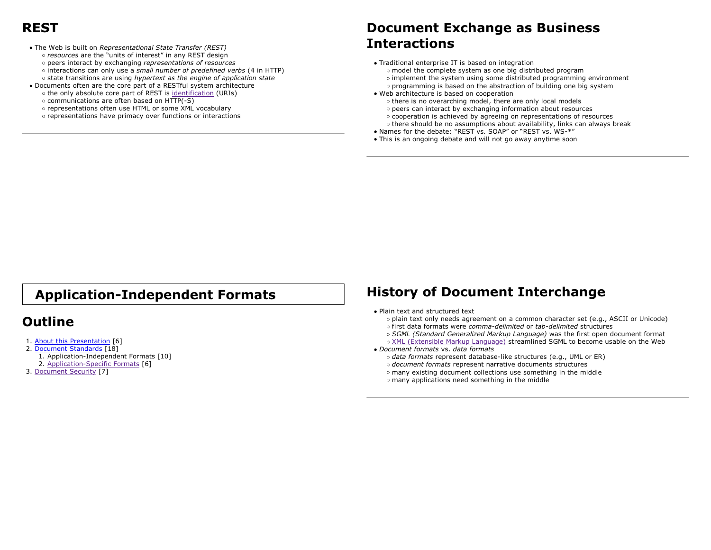#### **REST**

- The Web is built on *Representational State Transfer (REST) resources* are the "units of interest" in any REST design peers interact by exchanging *representations of resources* interactions can only use a *small number of predefined verbs* (4 in HTTP) state transitions are using *hypertext as the engine of application state*
- Documents often are the core part of a RESTful system architecture o the only absolute core part of REST is identification (URIs) communications are often based on HTTP(-S)
	- representations often use HTML or some XML vocabulary
	- o representations have primacy over functions or interactions

#### **Document Exchange as Business Interactions**

- Traditional enterprise IT is based on integration
	- model the complete system as one big distributed program
	- $\circ$  implement the system using some distributed programming environment
	- $\circ$  programming is based on the abstraction of building one big system
- Web architecture is based on cooperation
	- o there is no overarching model, there are only local models
	- peers can interact by exchanging information about resources
	- cooperation is achieved by agreeing on representations of resources
	- o there should be no assumptions about availability, links can always break
- Names for the debate: "REST vs. SOAP" or "REST vs. WS-\*"
- This is an ongoing debate and will not go away anytime soon

## **Application-Independent Formats**

#### **Outline**

- 1. <u>About this Presentation</u> [6]
- 2. <u>Document Standards</u> [18]
	- 1. Application-Independent Formats [10]
	- 2. Application-Specific Formats [6]
- 3. Document Security [7]

#### **History of Document Interchange**

- Plain text and structured text
	- plain text only needs agreement on a common character set (e.g., ASCII or Unicode)
	- first data formats were *comma-delimited* or *tab-delimited* structures
	- *SGML (Standard Generalized Markup Language)* was the first open document format
- XML (Extensible Markup Language) streamlined SGML to become usable on the Web *Document formats* vs. *data formats*
	- *data formats* represent database-like structures (e.g., UML or ER)
	- *document formats* represent narrative documents structures
	- many existing document collections use something in the middle
	- many applications need something in the middle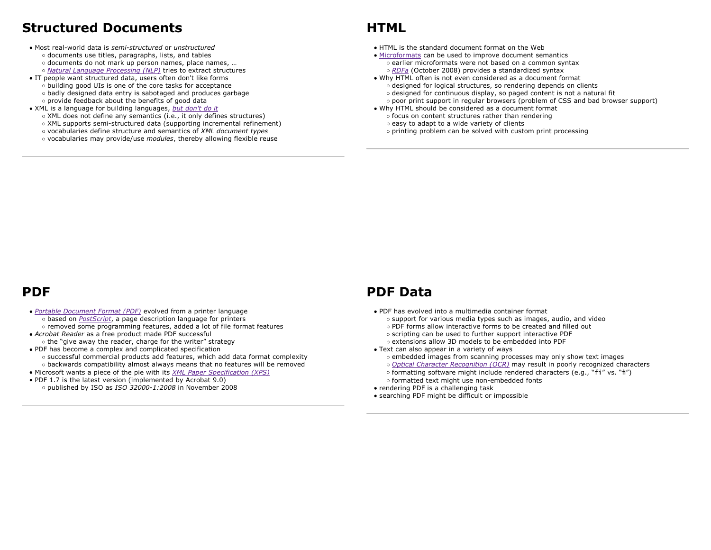#### **Structured Documents**

- Most real-world data is *semi-structured* or *unstructured* documents use titles, paragraphs, lists, and tables o documents do not mark up person names, place names, ... *Natural Language Processing (NLP)* tries to extract structures
- IT people want structured data, users often don't like forms building good UIs is one of the core tasks for acceptance badly designed data entry is sabotaged and produces garbage o provide feedback about the benefits of good data
- XML is a language for building languages, *but don't do it* XML does not define any semantics (i.e., it only defines structures) XML supports semi-structured data (supporting incremental refinement) vocabularies define structure and semantics of *XML document types* vocabularies may provide/use *modules*, thereby allowing flexible reuse

## **HTML**

- HTML is the standard document format on the Web
- Microformats can be used to improve document semantics earlier microformats were not based on a common syntax *RDFa* (October 2008) provides a standardized syntax
- Why HTML often is not even considered as a document format designed for logical structures, so rendering depends on clients  $\circ$  designed for continuous display, so paged content is not a natural fit  $\circ$  poor print support in regular browsers (problem of CSS and bad browser support)
- Why HTML should be considered as a document format  $\circ$  focus on content structures rather than rendering
	- o easy to adapt to a wide variety of clients
	- printing problem can be solved with custom print processing

#### **PDF**

- *Portable Document Format (PDF)* evolved from a printer language based on *PostScript*, a page description language for printers removed some programming features, added a lot of file format features
- *Acrobat Reader* as a free product made PDF successful o the "give away the reader, charge for the writer" strategy
- PDF has become a complex and complicated specification successful commercial products add features, which add data format complexity backwards compatibility almost always means that no features will be removed
- Microsoft wants a piece of the pie with its *XML Paper Specification (XPS)*
- PDF 1.7 is the latest version (implemented by Acrobat 9.0) published by ISO as *ISO 32000-1:2008* in November 2008

# **PDF Data**

- PDF has evolved into a multimedia container format
	- o support for various media types such as images, audio, and video
	- PDF forms allow interactive forms to be created and filled out
	- o scripting can be used to further support interactive PDF
	- extensions allow 3D models to be embedded into PDF
- Text can also appear in a variety of ways
	- embedded images from scanning processes may only show text images
	- *Optical Character Recognition (OCR)* may result in poorly recognized characters
	- formatting software might include rendered characters (e.g., "fi" vs. "fi") o formatted text might use non-embedded fonts
- rendering PDF is a challenging task
- searching PDF might be difficult or impossible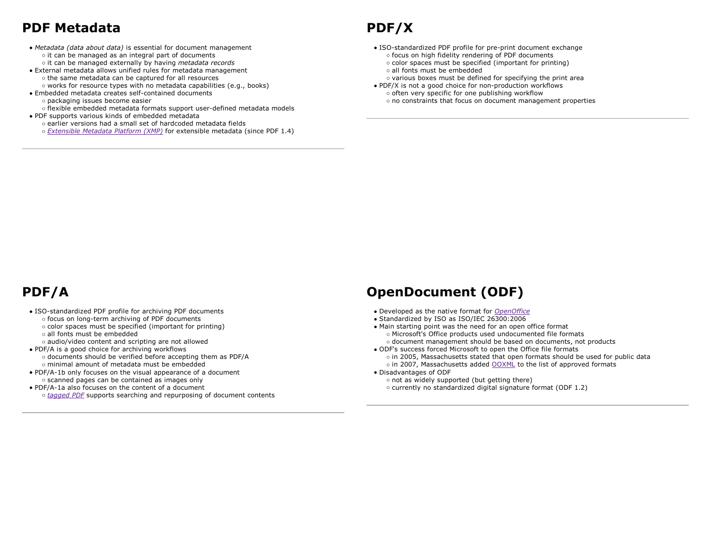# **PDF Metadata**

- *Metadata (data about data)* is essential for document management o it can be managed as an integral part of documents it can be managed externally by having *metadata records*
- External metadata allows unified rules for metadata management o the same metadata can be captured for all resources o works for resource types with no metadata capabilities (e.g., books)
- Embedded metadata creates self-contained documents
- o packaging issues become easier flexible embedded metadata formats support user-defined metadata models
- PDF supports various kinds of embedded metadata earlier versions had a small set of hardcoded metadata fields*Extensible Metadata Platform (XMP)* for extensible metadata (since PDF 1.4)

# **PDF/X**

- ISO-standardized PDF profile for pre-print document exchange o focus on high fidelity rendering of PDF documents color spaces must be specified (important for printing) all fonts must be embedded
- various boxes must be defined for specifying the print area
- PDF/X is not a good choice for non-production workflows  $\circ$  often very specific for one publishing workflow no constraints that focus on document management properties

# **PDF/A**

- ISO-standardized PDF profile for archiving PDF documents o focus on long-term archiving of PDF documents color spaces must be specified (important for printing)
	- all fonts must be embedded
	- audio/video content and scripting are not allowed
- PDF/A is a good choice for archiving workflows documents should be verified before accepting them as PDF/A minimal amount of metadata must be embedded
- PDF/A-1b only focuses on the visual appearance of a document o scanned pages can be contained as images only
- PDF/A-1a also focuses on the content of a document *tagged PDF* supports searching and repurposing of document contents

#### **OpenDocument (ODF)**

- Developed as the native format for *OpenOffice*
- Standardized by ISO as ISO/IEC 26300:2006
- Main starting point was the need for an open office format Microsoft's Office products used undocumented file formats document management should be based on documents, not products
- ODF's success forced Microsoft to open the Office file formats
	- in 2005, Massachusetts stated that open formats should be used for public data o in 2007, Massachusetts added OOXML to the list of approved formats
- Disadvantages of ODF
	- o not as widely supported (but getting there)
	- currently no standardized digital signature format (ODF 1.2)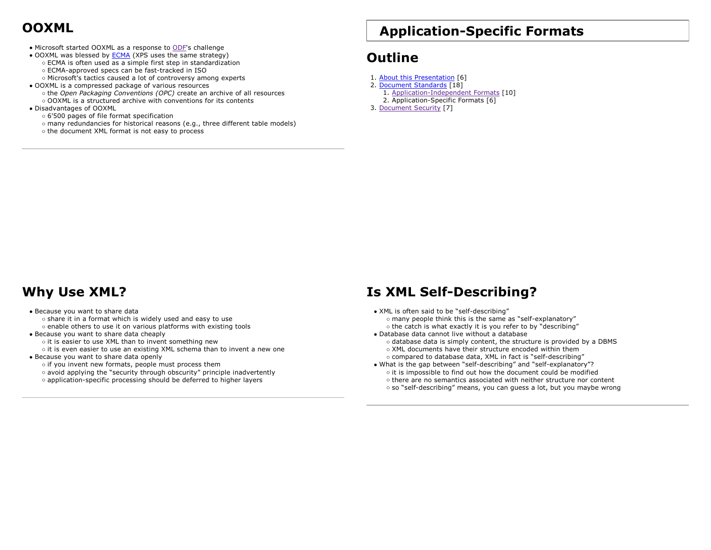# **OOXML**

- Microsoft started OOXML as a response to ODF's challenge
- OOXML was blessed by **ECMA** (XPS uses the same strategy) ECMA is often used as a simple first step in standardization
	- ECMA-approved specs can be fast-tracked in ISO
	- Microsoft's tactics caused a lot of controversy among experts
- OOXML is a compressed package of various resources
	- the *Open Packaging Conventions (OPC)* create an archive of all resources OOXML is a structured archive with conventions for its contents
- Disadvantages of OOXML
	- 6'500 pages of file format specification
	- many redundancies for historical reasons (e.g., three different table models)
	- o the document XML format is not easy to process

# **Application-Specific Formats**

# **Outline**

- 1. <u>About this Presentation</u> [6]
- 2. <u>Document Standards</u> [18]
	- 1. Application-Independent Formats [10] 2. Application-Specific Formats [6]
- 3. Document Security [7]

# **Why Use XML?**

#### Because you want to share data o share it in a format which is widely used and easy to use enable others to use it on various platforms with existing tools

- Because you want to share data cheaply  $\circ$  it is easier to use XML than to invent something new
	- $\circ$  it is even easier to use an existing XML schema than to invent a new one

Because you want to share data openly  $\circ$  if you invent new formats, people must process them  $\circ$  avoid applying the "security through obscurity" principle inadvertently application-specific processing should be deferred to higher layers

# **Is XML Self-Describing?**

- XML is often said to be "self-describing" many people think this is the same as "self-explanatory" o the catch is what exactly it is you refer to by "describing"
- Database data cannot live without a database
	- o database data is simply content, the structure is provided by a DBMS
	- XML documents have their structure encoded within them
- compared to database data, XML in fact is "self-describing" What is the gap between "self-describing" and "self-explanatory"?
- $\circ$  it is impossible to find out how the document could be modified  $\circ$  there are no semantics associated with neither structure nor content so "self-describing" means, you can guess a lot, but you maybe wrong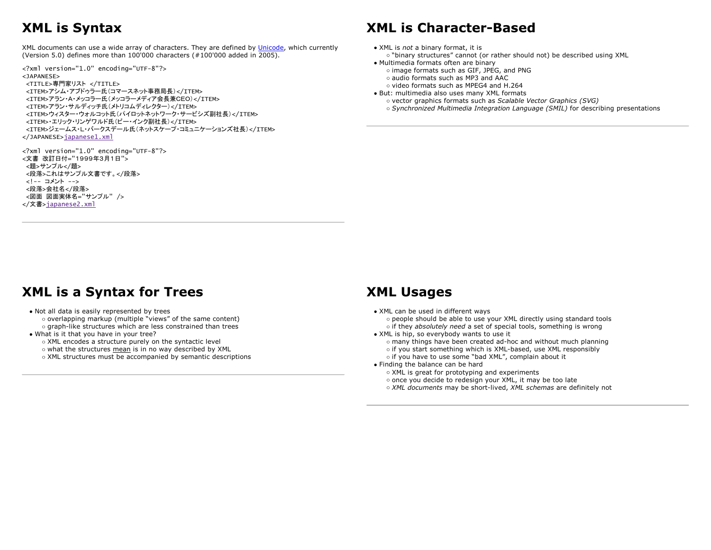# **XML is Syntax**

XML documents can use a wide array of characters. They are defined by Unicode, which currently (Version 5.0) defines more than 100'000 characters (#100'000 added in 2005).

<?xml version="1.0" encoding="UTF-8"?> <JAPANESE>

```
<TITLE>専門家リスト </TITLE>
<ITEM>アシム・アブドゥラー氏(コマースネット事務局長)</ITEM>
<ITEM>アラン・A・メッコラー氏(メッコラーメディア会長兼CEO)</ITEM>
<ITEM>アラン・サルディッチ氏(メトリコムディレクター)</ITEM>
<ITEM>ウィスター・ウォルコット氏(パイロットネットワーク・サービシズ副社長)</ITEM>
<ITEM>·エリック·リンゲワルド氏(ビー·インク副社長)</ITEM>
<ITEM>ジェームス・L・バークスデール氏(ネットスケープ・コミュニケーションズ社長)</ITEM>
</JAPANESE>japanese1.xml
```
<?xml version="1.0" encoding="UTF-8"?> <文書 改訂日付="1999年3月1日"> <題>サンプル</題> <段落>これはサンプル文書です。</段落> <!-- コメント --> <段落>会社名</段落> <図面 図面実体名="サンプル" /> </文書>japanese2.xml

# **XML is Character-Based**

- XML is *not* a binary format, it is
- "binary structures" cannot (or rather should not) be described using XML
- Multimedia formats often are binary image formats such as GIF, JPEG, and PNG audio formats such as MP3 and AAC
	- video formats such as MPEG4 and H.264
- But: multimedia also uses many XML formats
	- vector graphics formats such as *Scalable Vector Graphics (SVG) Synchronized Multimedia Integration Language (SMIL)* for describing presentations

# **XML is a Syntax for Trees**

- Not all data is easily represented by trees o overlapping markup (multiple "views" of the same content) o graph-like structures which are less constrained than trees
- What is it that you have in your tree? XML encodes a structure purely on the syntactic level
	- o what the structures mean is in no way described by XML
	- XML structures must be accompanied by semantic descriptions

#### **XML Usages**

- XML can be used in different ways
	- people should be able to use your XML directly using standard tools o if they *absolutely need* a set of special tools, something is wrong
	-
- XML is hip, so everybody wants to use it
	- many things have been created ad-hoc and without much planning
	- o if you start something which is XML-based, use XML responsibly
	- o if you have to use some "bad XML", complain about it
- Finding the balance can be hard
	- XML is great for prototyping and experiments
	- once you decide to redesign your XML, it may be too late
	- *XML documents* may be short-lived, *XML schemas* are definitely not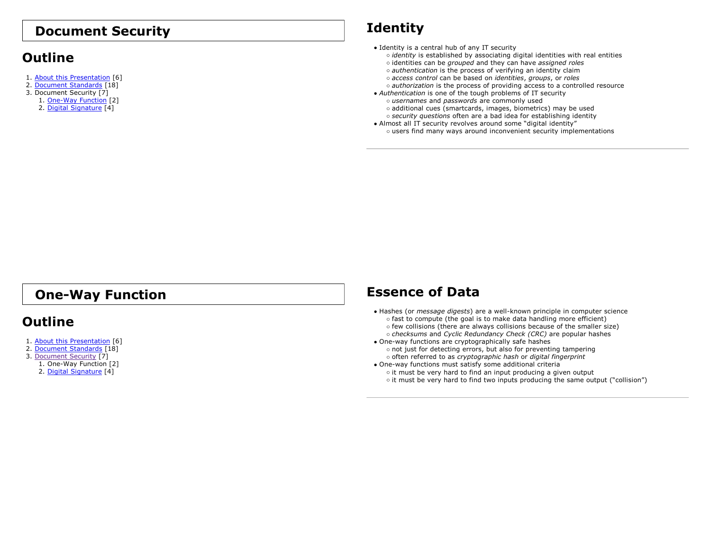#### **Document Security**

#### **Outline**

- 1. <u>About this Presentation</u> [6]
- 2. <u>Document Standards</u> [18]
- 3. Document Security [7]
	- 1. <u>One-Way Function</u> [2] 2. <u>Digital Signature</u> [4]

# **Identity**

- Identity is a central hub of any IT security
	- *identity* is established by associating digital identities with real entities identities can be *grouped* and they can have *assigned roles*
	- *authentication* is the process of verifying an identity claim
	- *access control* can be based on *identities*, *groups*, or *roles*
	- *authorization* is the process of providing access to a controlled resource
- *Authentication* is one of the tough problems of IT security *usernames* and *passwords* are commonly used additional cues (smartcards, images, biometrics) may be used *security questions* often are a bad idea for establishing identity
- Almost all IT security revolves around some "digital identity" users find many ways around inconvenient security implementations

# **One-Way Function**

#### **Outline**

- 1. <u>About this Presentation</u> [6]
- 2. <u>Document Standards</u> [18]
- 3. <u>Document Security</u> [7]
	- 1. One-Way Function [2] 2. <u>Digital Signature</u> [4]

## **Essence of Data**

- Hashes (or *message digests*) are a well-known principle in computer science o fast to compute (the goal is to make data handling more efficient) o few collisions (there are always collisions because of the smaller size) *checksums* and *Cyclic Redundancy Check (CRC)* are popular hashes
- One-way functions are cryptographically safe hashes o not just for detecting errors, but also for preventing tampering often referred to as *cryptographic hash* or *digital fingerprint*
- One-way functions must satisfy some additional criteria o it must be very hard to find an input producing a given output o it must be very hard to find two inputs producing the same output ("collision")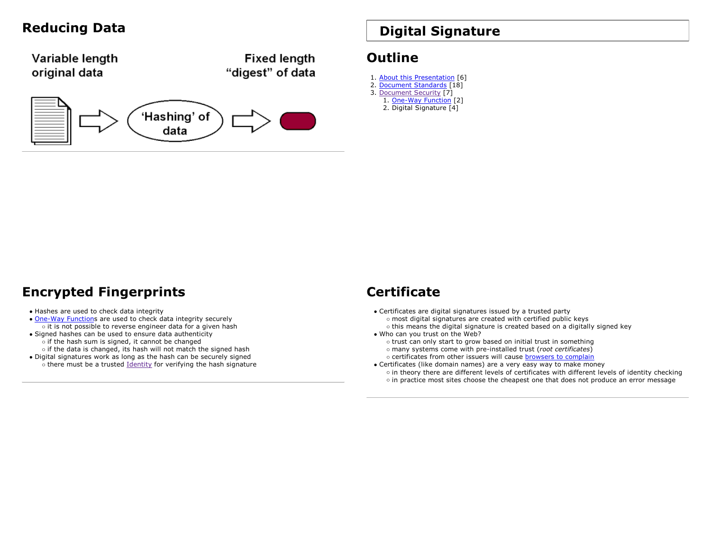

# **Reducing Data Digital Signature**

#### **Outline**

- 1. <u>About this Presentation</u> [6]
- 2. <u>Document Standards</u> [18] 3. <u>Document Security</u> [7] 1. <u>One-Way Function</u> [2] 2. Digital Signature [4]

## **Encrypted Fingerprints**

#### Hashes are used to check data integrity

- One-Way Functions are used to check data integrity securely o it is not possible to reverse engineer data for a given hash
- Signed hashes can be used to ensure data authenticity o if the hash sum is signed, it cannot be changed  $\circ$  if the data is changed, its hash will not match the signed hash
- Digital signatures work as long as the hash can be securely signed  $\circ$  there must be a trusted Identity for verifying the hash signature

#### **Certificate**

- Certificates are digital signatures issued by a trusted party most digital signatures are created with certified public keys this means the digital signature is created based on a digitally signed key
- Who can you trust on the Web?
	- o trust can only start to grow based on initial trust in something
	- many systems come with pre-installed trust (*root certificates*)
	- o certificates from other issuers will cause **browsers to complain**
- Certificates (like domain names) are a very easy way to make money in theory there are different levels of certificates with different levels of identity checking in practice most sites choose the cheapest one that does not produce an error message